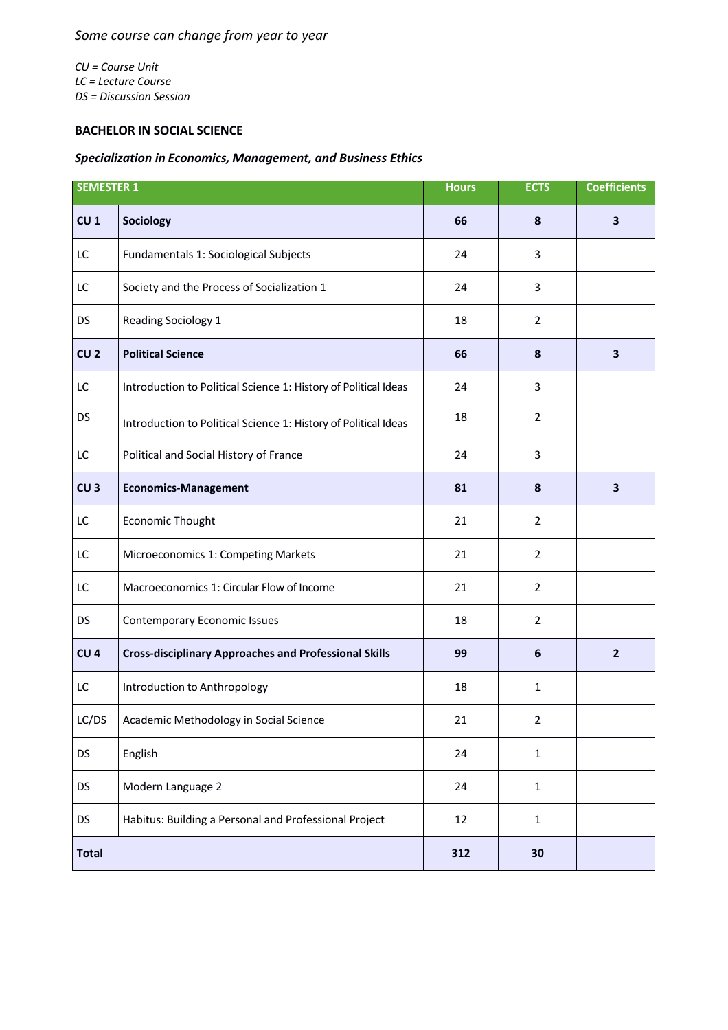*CU = Course Unit LC = Lecture Course DS = Discussion Session*

## **BACHELOR IN SOCIAL SCIENCE**

## *Specialization in Economics, Management, and Business Ethics*

| <b>SEMESTER 1</b> |                                                                 | <b>Hours</b> | <b>ECTS</b>    | <b>Coefficients</b>     |
|-------------------|-----------------------------------------------------------------|--------------|----------------|-------------------------|
| CU <sub>1</sub>   | Sociology                                                       | 66           | 8              | $\overline{\mathbf{3}}$ |
| LC                | Fundamentals 1: Sociological Subjects                           | 24           | 3              |                         |
| LC                | Society and the Process of Socialization 1                      | 24           | 3              |                         |
| <b>DS</b>         | Reading Sociology 1                                             | 18           | $\overline{2}$ |                         |
| CU <sub>2</sub>   | <b>Political Science</b>                                        | 66           | 8              | 3                       |
| LC                | Introduction to Political Science 1: History of Political Ideas | 24           | 3              |                         |
| <b>DS</b>         | Introduction to Political Science 1: History of Political Ideas | 18           | $\overline{2}$ |                         |
| LC                | Political and Social History of France                          | 24           | 3              |                         |
| CU <sub>3</sub>   | <b>Economics-Management</b>                                     | 81           | 8              | 3                       |
| LC                | Economic Thought                                                | 21           | $\overline{2}$ |                         |
| LC                | Microeconomics 1: Competing Markets                             | 21           | $\overline{2}$ |                         |
| LC                | Macroeconomics 1: Circular Flow of Income                       | 21           | $\overline{2}$ |                         |
| <b>DS</b>         | <b>Contemporary Economic Issues</b>                             | 18           | $\overline{2}$ |                         |
| CU <sub>4</sub>   | <b>Cross-disciplinary Approaches and Professional Skills</b>    | 99           | 6              | $\overline{2}$          |
| LC                | Introduction to Anthropology                                    | 18           | 1              |                         |
| LC/DS             | Academic Methodology in Social Science                          | 21           | $\overline{2}$ |                         |
| <b>DS</b>         | English                                                         | 24           | $\mathbf{1}$   |                         |
| DS                | Modern Language 2                                               | 24           | $\mathbf{1}$   |                         |
| DS                | Habitus: Building a Personal and Professional Project           | 12           | $\mathbf{1}$   |                         |
| <b>Total</b>      |                                                                 | 312          | 30             |                         |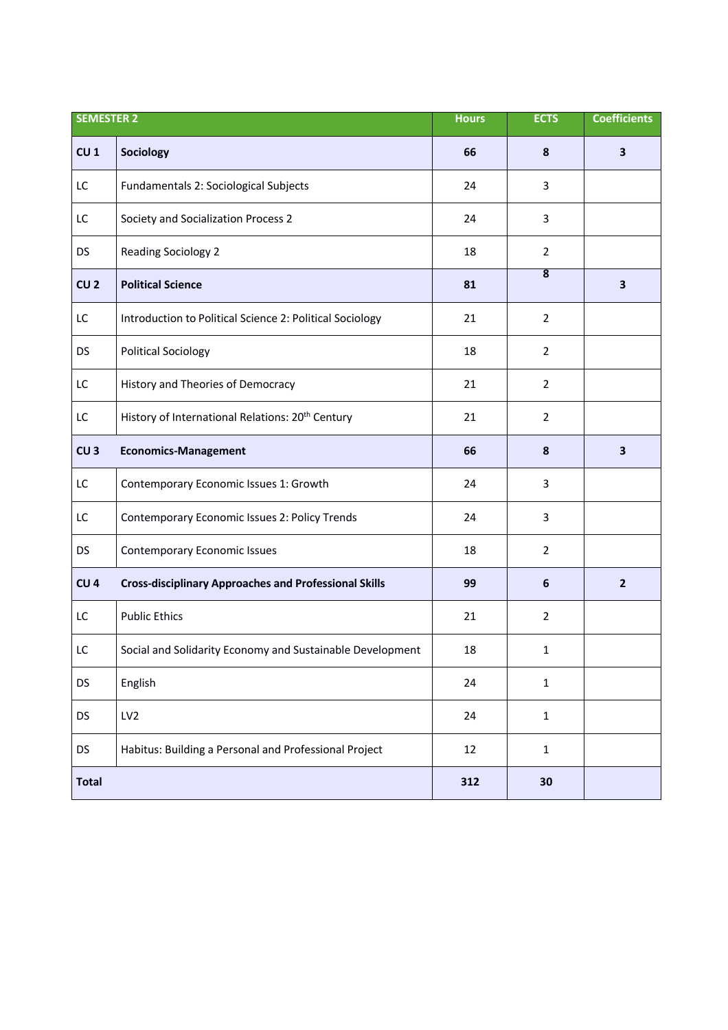| <b>SEMESTER 2</b> |                                                              | <b>Hours</b> | <b>ECTS</b>             | <b>Coefficients</b>     |
|-------------------|--------------------------------------------------------------|--------------|-------------------------|-------------------------|
| CU <sub>1</sub>   | Sociology                                                    | 66           | 8                       | $\overline{\mathbf{3}}$ |
| LC                | Fundamentals 2: Sociological Subjects                        | 24           | 3                       |                         |
| LC                | Society and Socialization Process 2                          | 24           | 3                       |                         |
| <b>DS</b>         | <b>Reading Sociology 2</b>                                   | 18           | $\overline{2}$          |                         |
| CU <sub>2</sub>   | <b>Political Science</b>                                     | 81           | $\overline{\mathbf{8}}$ | $\overline{\mathbf{3}}$ |
| LC                | Introduction to Political Science 2: Political Sociology     | 21           | $\overline{2}$          |                         |
| <b>DS</b>         | <b>Political Sociology</b>                                   | 18           | $\overline{2}$          |                         |
| LC                | History and Theories of Democracy                            | 21           | $\overline{2}$          |                         |
| LC                | History of International Relations: 20 <sup>th</sup> Century | 21           | $\overline{2}$          |                         |
| CU <sub>3</sub>   | <b>Economics-Management</b>                                  | 66           | 8                       | $\mathbf{3}$            |
| LC                | Contemporary Economic Issues 1: Growth                       | 24           | 3                       |                         |
| LC                | Contemporary Economic Issues 2: Policy Trends                | 24           | 3                       |                         |
| <b>DS</b>         | <b>Contemporary Economic Issues</b>                          | 18           | $\overline{2}$          |                         |
| CU <sub>4</sub>   | <b>Cross-disciplinary Approaches and Professional Skills</b> | 99           | 6                       | $\overline{2}$          |
| LC                | <b>Public Ethics</b>                                         | 21           | $\overline{2}$          |                         |
| LC                | Social and Solidarity Economy and Sustainable Development    | 18           | 1                       |                         |
| <b>DS</b>         | English                                                      | 24           | $\mathbf 1$             |                         |
| DS                | LV <sub>2</sub>                                              | 24           | $\mathbf{1}$            |                         |
| <b>DS</b>         | Habitus: Building a Personal and Professional Project        | 12           | $\mathbf{1}$            |                         |
| <b>Total</b>      |                                                              | 312          | 30                      |                         |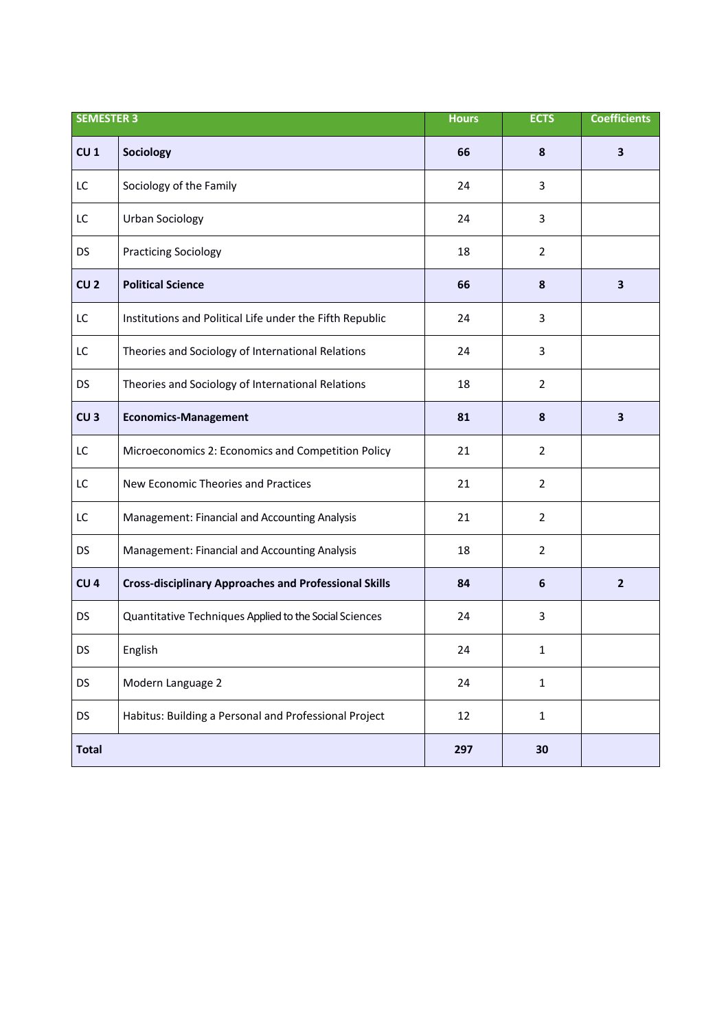| <b>SEMESTER 3</b> |                                                              | <b>Hours</b> | <b>ECTS</b>    | <b>Coefficients</b>     |
|-------------------|--------------------------------------------------------------|--------------|----------------|-------------------------|
| CU <sub>1</sub>   | Sociology                                                    | 66           | 8              | $\overline{\mathbf{3}}$ |
| LC                | Sociology of the Family                                      | 24           | 3              |                         |
| LC                | <b>Urban Sociology</b>                                       | 24           | 3              |                         |
| DS                | <b>Practicing Sociology</b>                                  | 18           | $\overline{2}$ |                         |
| CU <sub>2</sub>   | <b>Political Science</b>                                     | 66           | 8              | $\overline{\mathbf{3}}$ |
| LC                | Institutions and Political Life under the Fifth Republic     | 24           | 3              |                         |
| LC                | Theories and Sociology of International Relations            | 24           | 3              |                         |
| <b>DS</b>         | Theories and Sociology of International Relations            | 18           | $\overline{2}$ |                         |
| CU <sub>3</sub>   | <b>Economics-Management</b>                                  | 81           | 8              | $\overline{\mathbf{3}}$ |
| LC                | Microeconomics 2: Economics and Competition Policy           | 21           | $\overline{2}$ |                         |
| LC                | New Economic Theories and Practices                          | 21           | $\overline{2}$ |                         |
| LC                | Management: Financial and Accounting Analysis                | 21           | $\overline{2}$ |                         |
| <b>DS</b>         | Management: Financial and Accounting Analysis                | 18           | $\overline{2}$ |                         |
| CU <sub>4</sub>   | <b>Cross-disciplinary Approaches and Professional Skills</b> | 84           | 6              | $\overline{2}$          |
| <b>DS</b>         | Quantitative Techniques Applied to the Social Sciences       | 24           | 3              |                         |
| DS                | English                                                      | 24           | $\mathbf{1}$   |                         |
| <b>DS</b>         | Modern Language 2                                            | 24           | $\mathbf{1}$   |                         |
| <b>DS</b>         | Habitus: Building a Personal and Professional Project        | 12           | $\mathbf{1}$   |                         |
| <b>Total</b>      |                                                              | 297          | 30             |                         |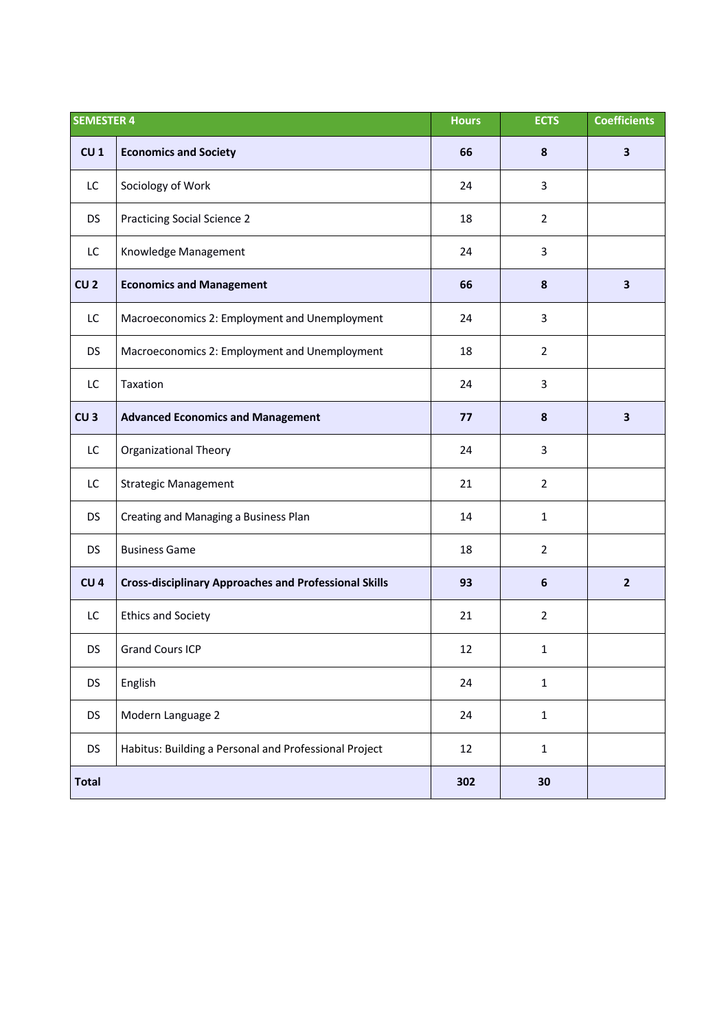| <b>SEMESTER 4</b> |                                                              | <b>Hours</b> | <b>ECTS</b>      | <b>Coefficients</b> |
|-------------------|--------------------------------------------------------------|--------------|------------------|---------------------|
| CU <sub>1</sub>   | <b>Economics and Society</b>                                 | 66           | 8                | 3                   |
| LC                | Sociology of Work                                            | 24           | 3                |                     |
| <b>DS</b>         | <b>Practicing Social Science 2</b>                           | 18           | $\overline{2}$   |                     |
| LC                | Knowledge Management                                         | 24           | 3                |                     |
| CU <sub>2</sub>   | <b>Economics and Management</b>                              | 66           | 8                | 3                   |
| LC                | Macroeconomics 2: Employment and Unemployment                | 24           | $\mathbf{3}$     |                     |
| <b>DS</b>         | Macroeconomics 2: Employment and Unemployment                | 18           | $\overline{2}$   |                     |
| LC                | Taxation                                                     | 24           | 3                |                     |
| CU <sub>3</sub>   | <b>Advanced Economics and Management</b>                     | 77           | 8                | 3                   |
| LC                | <b>Organizational Theory</b>                                 | 24           | 3                |                     |
| LC                | <b>Strategic Management</b>                                  | 21           | $\overline{2}$   |                     |
| <b>DS</b>         | Creating and Managing a Business Plan                        | 14           | $\mathbf{1}$     |                     |
| <b>DS</b>         | <b>Business Game</b>                                         | 18           | $\overline{2}$   |                     |
| CU <sub>4</sub>   | <b>Cross-disciplinary Approaches and Professional Skills</b> | 93           | $\boldsymbol{6}$ | $\overline{2}$      |
| LC                | <b>Ethics and Society</b>                                    | 21           | $\overline{2}$   |                     |
| <b>DS</b>         | <b>Grand Cours ICP</b>                                       | 12           | $\mathbf{1}$     |                     |
| <b>DS</b>         | English                                                      | 24           | $\mathbf{1}$     |                     |
| <b>DS</b>         | Modern Language 2                                            | 24           | $\mathbf{1}$     |                     |
| <b>DS</b>         | Habitus: Building a Personal and Professional Project        | 12           | $\mathbf 1$      |                     |
| <b>Total</b>      |                                                              | 302          | 30               |                     |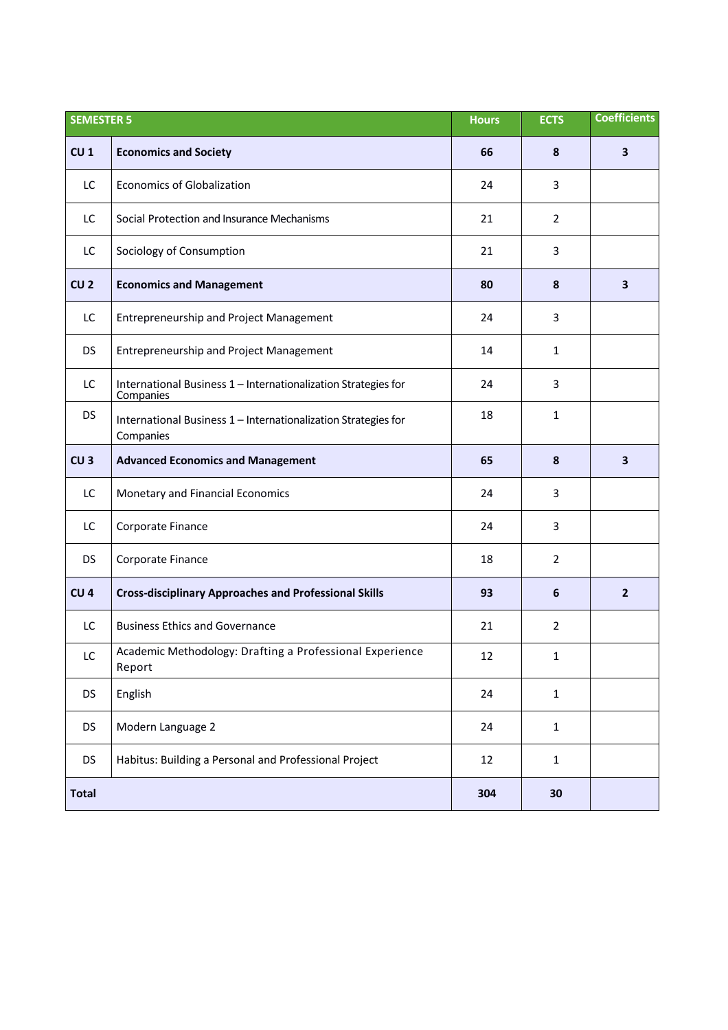| <b>SEMESTER 5</b> |                                                                             | <b>Hours</b> | <b>ECTS</b>    | <b>Coefficients</b> |
|-------------------|-----------------------------------------------------------------------------|--------------|----------------|---------------------|
| CU <sub>1</sub>   | <b>Economics and Society</b>                                                | 66           | 8              | 3                   |
| LC                | <b>Economics of Globalization</b>                                           | 24           | 3              |                     |
| LC                | Social Protection and Insurance Mechanisms                                  | 21           | $\overline{2}$ |                     |
| LC                | Sociology of Consumption                                                    | 21           | 3              |                     |
| CU <sub>2</sub>   | <b>Economics and Management</b>                                             | 80           | 8              | 3                   |
| LC                | <b>Entrepreneurship and Project Management</b>                              | 24           | 3              |                     |
| <b>DS</b>         | <b>Entrepreneurship and Project Management</b>                              | 14           | $\mathbf{1}$   |                     |
| LC                | International Business 1 - Internationalization Strategies for<br>Companies | 24           | 3              |                     |
| <b>DS</b>         | International Business 1 - Internationalization Strategies for<br>Companies | 18           | 1              |                     |
| CU <sub>3</sub>   | <b>Advanced Economics and Management</b>                                    | 65           | 8              | 3                   |
| LC                | Monetary and Financial Economics                                            | 24           | 3              |                     |
| LC                | Corporate Finance                                                           | 24           | 3              |                     |
| <b>DS</b>         | Corporate Finance                                                           | 18           | $\overline{2}$ |                     |
| CU <sub>4</sub>   | <b>Cross-disciplinary Approaches and Professional Skills</b>                | 93           | 6              | $\overline{2}$      |
| LC                | <b>Business Ethics and Governance</b>                                       | 21           | $\overline{2}$ |                     |
| LC                | Academic Methodology: Drafting a Professional Experience<br>Report          | 12           | 1              |                     |
| <b>DS</b>         | English                                                                     | 24           | $\mathbf{1}$   |                     |
| <b>DS</b>         | Modern Language 2                                                           | 24           | $\mathbf{1}$   |                     |
| <b>DS</b>         | Habitus: Building a Personal and Professional Project                       | 12           | $\mathbf{1}$   |                     |
| <b>Total</b>      |                                                                             | 304          | 30             |                     |